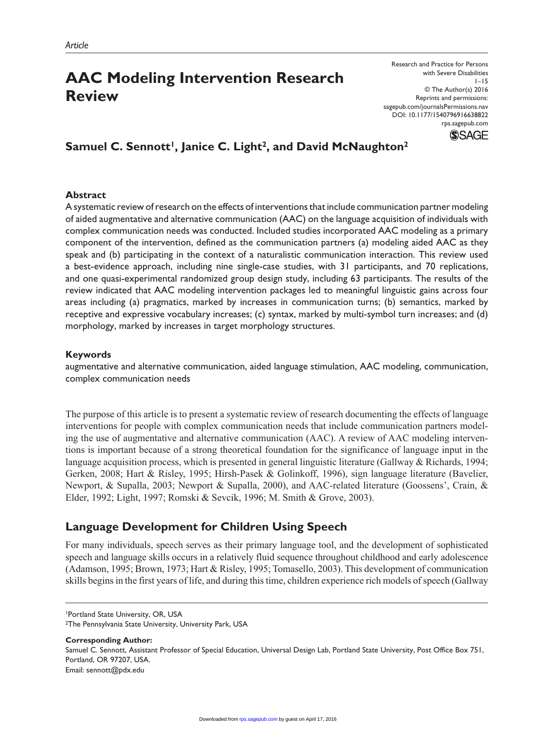# **AAC Modeling Intervention Research Review**

Samuel C. Sennott<sup>1</sup>, Janice C. Light<sup>2</sup>, and David McNaughton<sup>2</sup>

## **Abstract**

A systematic review of research on the effects of interventions that include communication partner modeling of aided augmentative and alternative communication (AAC) on the language acquisition of individuals with complex communication needs was conducted. Included studies incorporated AAC modeling as a primary component of the intervention, defined as the communication partners (a) modeling aided AAC as they speak and (b) participating in the context of a naturalistic communication interaction. This review used a best-evidence approach, including nine single-case studies, with 31 participants, and 70 replications, and one quasi-experimental randomized group design study, including 63 participants. The results of the review indicated that AAC modeling intervention packages led to meaningful linguistic gains across four areas including (a) pragmatics, marked by increases in communication turns; (b) semantics, marked by receptive and expressive vocabulary increases; (c) syntax, marked by multi-symbol turn increases; and (d) morphology, marked by increases in target morphology structures.

## **Keywords**

augmentative and alternative communication, aided language stimulation, AAC modeling, communication, complex communication needs

The purpose of this article is to present a systematic review of research documenting the effects of language interventions for people with complex communication needs that include communication partners modeling the use of augmentative and alternative communication (AAC). A review of AAC modeling interventions is important because of a strong theoretical foundation for the significance of language input in the language acquisition process, which is presented in general linguistic literature (Gallway & Richards, 1994; Gerken, 2008; Hart & Risley, 1995; Hirsh-Pasek & Golinkoff, 1996), sign language literature (Bavelier, Newport, & Supalla, 2003; Newport & Supalla, 2000), and AAC-related literature (Goossens', Crain, & Elder, 1992; Light, 1997; Romski & Sevcik, 1996; M. Smith & Grove, 2003).

# **Language Development for Children Using Speech**

For many individuals, speech serves as their primary language tool, and the development of sophisticated speech and language skills occurs in a relatively fluid sequence throughout childhood and early adolescence (Adamson, 1995; Brown, 1973; Hart & Risley, 1995; Tomasello, 2003). This development of communication skills begins in the first years of life, and during this time, children experience rich models of speech (Gallway

**Corresponding Author:** Samuel C. Sennott, Assistant Professor of Special Education, Universal Design Lab, Portland State University, Post Office Box 751, Portland, OR 97207, USA. Email: sennott@pdx.edu

<sup>1</sup>Portland State University, OR, USA

<sup>2</sup>The Pennsylvania State University, University Park, USA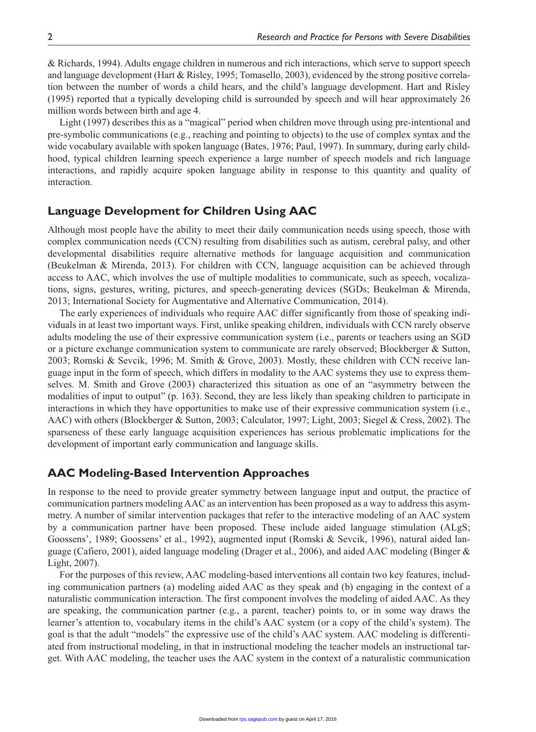& Richards, 1994). Adults engage children in numerous and rich interactions, which serve to support speech and language development (Hart & Risley, 1995; Tomasello, 2003), evidenced by the strong positive correlation between the number of words a child hears, and the child's language development. Hart and Risley (1995) reported that a typically developing child is surrounded by speech and will hear approximately 26 million words between birth and age 4.

Light (1997) describes this as a "magical" period when children move through using pre-intentional and pre-symbolic communications (e.g., reaching and pointing to objects) to the use of complex syntax and the wide vocabulary available with spoken language (Bates, 1976; Paul, 1997). In summary, during early childhood, typical children learning speech experience a large number of speech models and rich language interactions, and rapidly acquire spoken language ability in response to this quantity and quality of interaction.

# **Language Development for Children Using AAC**

Although most people have the ability to meet their daily communication needs using speech, those with complex communication needs (CCN) resulting from disabilities such as autism, cerebral palsy, and other developmental disabilities require alternative methods for language acquisition and communication (Beukelman & Mirenda, 2013). For children with CCN, language acquisition can be achieved through access to AAC, which involves the use of multiple modalities to communicate, such as speech, vocalizations, signs, gestures, writing, pictures, and speech-generating devices (SGDs; Beukelman & Mirenda, 2013; International Society for Augmentative and Alternative Communication, 2014).

The early experiences of individuals who require AAC differ significantly from those of speaking individuals in at least two important ways. First, unlike speaking children, individuals with CCN rarely observe adults modeling the use of their expressive communication system (i.e., parents or teachers using an SGD or a picture exchange communication system to communicate are rarely observed; Blockberger & Sutton, 2003; Romski & Sevcik, 1996; M. Smith & Grove, 2003). Mostly, these children with CCN receive language input in the form of speech, which differs in modality to the AAC systems they use to express themselves. M. Smith and Grove (2003) characterized this situation as one of an "asymmetry between the modalities of input to output" (p. 163). Second, they are less likely than speaking children to participate in interactions in which they have opportunities to make use of their expressive communication system (i.e., AAC) with others (Blockberger & Sutton, 2003; Calculator, 1997; Light, 2003; Siegel & Cress, 2002). The sparseness of these early language acquisition experiences has serious problematic implications for the development of important early communication and language skills.

# **AAC Modeling-Based Intervention Approaches**

In response to the need to provide greater symmetry between language input and output, the practice of communication partners modeling AAC as an intervention has been proposed as a way to address this asymmetry. A number of similar intervention packages that refer to the interactive modeling of an AAC system by a communication partner have been proposed. These include aided language stimulation (ALgS; Goossens', 1989; Goossens' et al., 1992), augmented input (Romski & Sevcik, 1996), natural aided language (Cafiero, 2001), aided language modeling (Drager et al., 2006), and aided AAC modeling (Binger & Light, 2007).

For the purposes of this review, AAC modeling-based interventions all contain two key features, including communication partners (a) modeling aided AAC as they speak and (b) engaging in the context of a naturalistic communication interaction. The first component involves the modeling of aided AAC. As they are speaking, the communication partner (e.g., a parent, teacher) points to, or in some way draws the learner's attention to, vocabulary items in the child's AAC system (or a copy of the child's system). The goal is that the adult "models" the expressive use of the child's AAC system. AAC modeling is differentiated from instructional modeling, in that in instructional modeling the teacher models an instructional target. With AAC modeling, the teacher uses the AAC system in the context of a naturalistic communication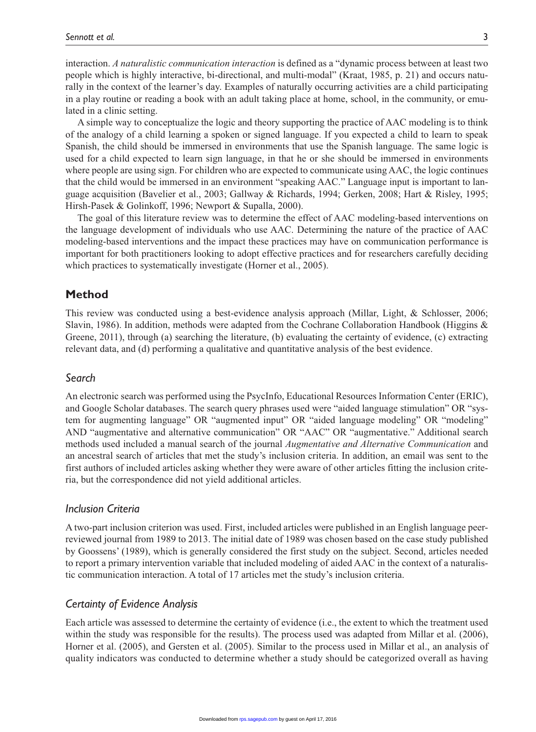interaction. *A naturalistic communication interaction* is defined as a "dynamic process between at least two people which is highly interactive, bi-directional, and multi-modal" (Kraat, 1985, p. 21) and occurs naturally in the context of the learner's day. Examples of naturally occurring activities are a child participating in a play routine or reading a book with an adult taking place at home, school, in the community, or emulated in a clinic setting.

A simple way to conceptualize the logic and theory supporting the practice of AAC modeling is to think of the analogy of a child learning a spoken or signed language. If you expected a child to learn to speak Spanish, the child should be immersed in environments that use the Spanish language. The same logic is used for a child expected to learn sign language, in that he or she should be immersed in environments where people are using sign. For children who are expected to communicate using AAC, the logic continues that the child would be immersed in an environment "speaking AAC." Language input is important to language acquisition (Bavelier et al., 2003; Gallway & Richards, 1994; Gerken, 2008; Hart & Risley, 1995; Hirsh-Pasek & Golinkoff, 1996; Newport & Supalla, 2000).

The goal of this literature review was to determine the effect of AAC modeling-based interventions on the language development of individuals who use AAC. Determining the nature of the practice of AAC modeling-based interventions and the impact these practices may have on communication performance is important for both practitioners looking to adopt effective practices and for researchers carefully deciding which practices to systematically investigate (Horner et al., 2005).

## **Method**

This review was conducted using a best-evidence analysis approach (Millar, Light, & Schlosser, 2006; Slavin, 1986). In addition, methods were adapted from the Cochrane Collaboration Handbook (Higgins & Greene, 2011), through (a) searching the literature, (b) evaluating the certainty of evidence, (c) extracting relevant data, and (d) performing a qualitative and quantitative analysis of the best evidence.

## *Search*

An electronic search was performed using the PsycInfo, Educational Resources Information Center (ERIC), and Google Scholar databases. The search query phrases used were "aided language stimulation" OR "system for augmenting language" OR "augmented input" OR "aided language modeling" OR "modeling" AND "augmentative and alternative communication" OR "AAC" OR "augmentative." Additional search methods used included a manual search of the journal *Augmentative and Alternative Communication* and an ancestral search of articles that met the study's inclusion criteria. In addition, an email was sent to the first authors of included articles asking whether they were aware of other articles fitting the inclusion criteria, but the correspondence did not yield additional articles.

## *Inclusion Criteria*

A two-part inclusion criterion was used. First, included articles were published in an English language peerreviewed journal from 1989 to 2013. The initial date of 1989 was chosen based on the case study published by Goossens' (1989), which is generally considered the first study on the subject. Second, articles needed to report a primary intervention variable that included modeling of aided AAC in the context of a naturalistic communication interaction. A total of 17 articles met the study's inclusion criteria.

# *Certainty of Evidence Analysis*

Each article was assessed to determine the certainty of evidence (i.e., the extent to which the treatment used within the study was responsible for the results). The process used was adapted from Millar et al. (2006), Horner et al. (2005), and Gersten et al. (2005). Similar to the process used in Millar et al., an analysis of quality indicators was conducted to determine whether a study should be categorized overall as having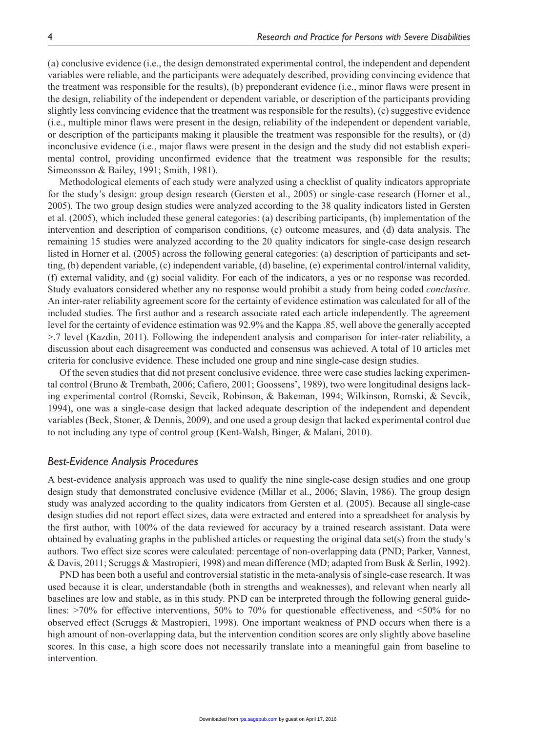(a) conclusive evidence (i.e., the design demonstrated experimental control, the independent and dependent variables were reliable, and the participants were adequately described, providing convincing evidence that the treatment was responsible for the results), (b) preponderant evidence (i.e., minor flaws were present in the design, reliability of the independent or dependent variable, or description of the participants providing slightly less convincing evidence that the treatment was responsible for the results), (c) suggestive evidence (i.e., multiple minor flaws were present in the design, reliability of the independent or dependent variable, or description of the participants making it plausible the treatment was responsible for the results), or (d) inconclusive evidence (i.e., major flaws were present in the design and the study did not establish experimental control, providing unconfirmed evidence that the treatment was responsible for the results; Simeonsson & Bailey, 1991; Smith, 1981).

Methodological elements of each study were analyzed using a checklist of quality indicators appropriate for the study's design: group design research (Gersten et al., 2005) or single-case research (Horner et al., 2005). The two group design studies were analyzed according to the 38 quality indicators listed in Gersten et al. (2005), which included these general categories: (a) describing participants, (b) implementation of the intervention and description of comparison conditions, (c) outcome measures, and (d) data analysis. The remaining 15 studies were analyzed according to the 20 quality indicators for single-case design research listed in Horner et al. (2005) across the following general categories: (a) description of participants and setting, (b) dependent variable, (c) independent variable, (d) baseline, (e) experimental control/internal validity, (f) external validity, and (g) social validity. For each of the indicators, a yes or no response was recorded. Study evaluators considered whether any no response would prohibit a study from being coded *conclusive*. An inter-rater reliability agreement score for the certainty of evidence estimation was calculated for all of the included studies. The first author and a research associate rated each article independently. The agreement level for the certainty of evidence estimation was 92.9% and the Kappa .85, well above the generally accepted >.7 level (Kazdin, 2011). Following the independent analysis and comparison for inter-rater reliability, a discussion about each disagreement was conducted and consensus was achieved. A total of 10 articles met criteria for conclusive evidence. These included one group and nine single-case design studies.

Of the seven studies that did not present conclusive evidence, three were case studies lacking experimental control (Bruno & Trembath, 2006; Cafiero, 2001; Goossens', 1989), two were longitudinal designs lacking experimental control (Romski, Sevcik, Robinson, & Bakeman, 1994; Wilkinson, Romski, & Sevcik, 1994), one was a single-case design that lacked adequate description of the independent and dependent variables (Beck, Stoner, & Dennis, 2009), and one used a group design that lacked experimental control due to not including any type of control group (Kent-Walsh, Binger, & Malani, 2010).

## *Best-Evidence Analysis Procedures*

A best-evidence analysis approach was used to qualify the nine single-case design studies and one group design study that demonstrated conclusive evidence (Millar et al., 2006; Slavin, 1986). The group design study was analyzed according to the quality indicators from Gersten et al. (2005). Because all single-case design studies did not report effect sizes, data were extracted and entered into a spreadsheet for analysis by the first author, with 100% of the data reviewed for accuracy by a trained research assistant. Data were obtained by evaluating graphs in the published articles or requesting the original data set(s) from the study's authors. Two effect size scores were calculated: percentage of non-overlapping data (PND; Parker, Vannest, & Davis, 2011; Scruggs & Mastropieri, 1998) and mean difference (MD; adapted from Busk & Serlin, 1992).

PND has been both a useful and controversial statistic in the meta-analysis of single-case research. It was used because it is clear, understandable (both in strengths and weaknesses), and relevant when nearly all baselines are low and stable, as in this study. PND can be interpreted through the following general guidelines: >70% for effective interventions, 50% to 70% for questionable effectiveness, and <50% for no observed effect (Scruggs & Mastropieri, 1998). One important weakness of PND occurs when there is a high amount of non-overlapping data, but the intervention condition scores are only slightly above baseline scores. In this case, a high score does not necessarily translate into a meaningful gain from baseline to intervention.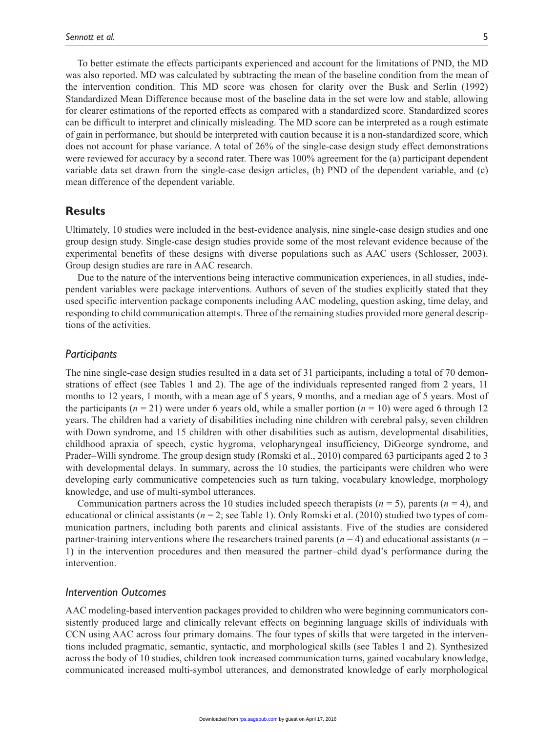To better estimate the effects participants experienced and account for the limitations of PND, the MD was also reported. MD was calculated by subtracting the mean of the baseline condition from the mean of the intervention condition. This MD score was chosen for clarity over the Busk and Serlin (1992) Standardized Mean Difference because most of the baseline data in the set were low and stable, allowing for clearer estimations of the reported effects as compared with a standardized score. Standardized scores can be difficult to interpret and clinically misleading. The MD score can be interpreted as a rough estimate of gain in performance, but should be interpreted with caution because it is a non-standardized score, which does not account for phase variance. A total of 26% of the single-case design study effect demonstrations were reviewed for accuracy by a second rater. There was 100% agreement for the (a) participant dependent variable data set drawn from the single-case design articles, (b) PND of the dependent variable, and (c) mean difference of the dependent variable.

# **Results**

Ultimately, 10 studies were included in the best-evidence analysis, nine single-case design studies and one group design study. Single-case design studies provide some of the most relevant evidence because of the experimental benefits of these designs with diverse populations such as AAC users (Schlosser, 2003). Group design studies are rare in AAC research.

Due to the nature of the interventions being interactive communication experiences, in all studies, independent variables were package interventions. Authors of seven of the studies explicitly stated that they used specific intervention package components including AAC modeling, question asking, time delay, and responding to child communication attempts. Three of the remaining studies provided more general descriptions of the activities.

## *Participants*

The nine single-case design studies resulted in a data set of 31 participants, including a total of 70 demonstrations of effect (see Tables 1 and 2). The age of the individuals represented ranged from 2 years, 11 months to 12 years, 1 month, with a mean age of 5 years, 9 months, and a median age of 5 years. Most of the participants (*n* = 21) were under 6 years old, while a smaller portion (*n* = 10) were aged 6 through 12 years. The children had a variety of disabilities including nine children with cerebral palsy, seven children with Down syndrome, and 15 children with other disabilities such as autism, developmental disabilities, childhood apraxia of speech, cystic hygroma, velopharyngeal insufficiency, DiGeorge syndrome, and Prader–Willi syndrome. The group design study (Romski et al., 2010) compared 63 participants aged 2 to 3 with developmental delays. In summary, across the 10 studies, the participants were children who were developing early communicative competencies such as turn taking, vocabulary knowledge, morphology knowledge, and use of multi-symbol utterances.

Communication partners across the 10 studies included speech therapists  $(n = 5)$ , parents  $(n = 4)$ , and educational or clinical assistants ( $n = 2$ ; see Table 1). Only Romski et al. (2010) studied two types of communication partners, including both parents and clinical assistants. Five of the studies are considered partner-training interventions where the researchers trained parents  $(n = 4)$  and educational assistants  $(n = 1)$ 1) in the intervention procedures and then measured the partner–child dyad's performance during the intervention.

### *Intervention Outcomes*

AAC modeling-based intervention packages provided to children who were beginning communicators consistently produced large and clinically relevant effects on beginning language skills of individuals with CCN using AAC across four primary domains. The four types of skills that were targeted in the interventions included pragmatic, semantic, syntactic, and morphological skills (see Tables 1 and 2). Synthesized across the body of 10 studies, children took increased communication turns, gained vocabulary knowledge, communicated increased multi-symbol utterances, and demonstrated knowledge of early morphological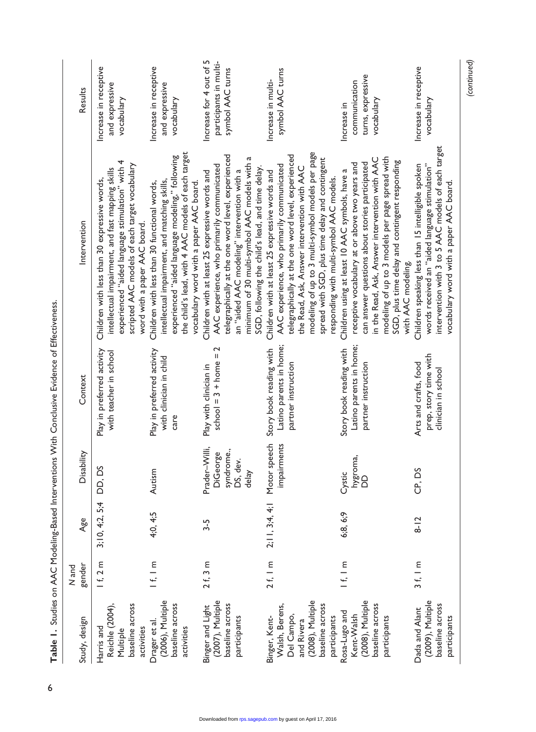| Results<br>Intervention | Increase in receptive<br>and expressive<br>vocabulary<br>experienced "aided language stimulation" with 4<br>scripted AAC models of each target vocabulary<br>intellectual impairment, and fast mapping skills<br>Children with less than 30 expressive words,<br>word with a paper AAC board. | Increase in receptive<br>and expressive<br>vocabulary<br>the child's lead, with 4 AAC models of each target<br>experienced "aided language modeling," following<br>intellectual impairment, and matching skills,<br>Children with less than 30 functional words,<br>vocabulary word with a paper AAC board. | Increase for 4 out of 5<br>participants in multi-<br>symbol AAC turns<br>telegraphically at the one word level, experienced<br>minimum of 30 multi-symbol AAC models with a<br>AAC experience, who primarily communicated<br>SGD, following the child's lead, and time delay.<br>an "aided AAC modeling" intervention with a<br>Children with at least 25 expressive words and<br>2 | symbol AAC turns<br>Increase in multi-<br>modeling of up to 3 multi-symbol models per page<br>telegraphically at the one word level, experienced<br>spread with SGD, plus time delay and contingent<br>AAC experience, who primarily communicated<br>the Read, Ask, Answer intervention with AAC<br>Children with at least 25 expressive words and<br>responding with multi-symbol AAC models. | turns, expressive<br>communication<br>vocabulary<br>Increase in<br>modeling of up to 3 models per page spread with<br>in the Read, Ask, Answer intervention with AAC<br>SGD, plus time delay and contingent responding<br>can answer questions about stories participated<br>receptive vocabulary at or above two years and<br>Children using at least 10 AAC symbols, have a<br>with AAC modeling. | Increase in receptive<br>vocabulary<br>intervention with 3 to 5 AAC models of each target<br>"Words received an "aided language stimulation<br>Children speaking less than 15 intelligible spoken |
|-------------------------|-----------------------------------------------------------------------------------------------------------------------------------------------------------------------------------------------------------------------------------------------------------------------------------------------|-------------------------------------------------------------------------------------------------------------------------------------------------------------------------------------------------------------------------------------------------------------------------------------------------------------|-------------------------------------------------------------------------------------------------------------------------------------------------------------------------------------------------------------------------------------------------------------------------------------------------------------------------------------------------------------------------------------|------------------------------------------------------------------------------------------------------------------------------------------------------------------------------------------------------------------------------------------------------------------------------------------------------------------------------------------------------------------------------------------------|-----------------------------------------------------------------------------------------------------------------------------------------------------------------------------------------------------------------------------------------------------------------------------------------------------------------------------------------------------------------------------------------------------|---------------------------------------------------------------------------------------------------------------------------------------------------------------------------------------------------|
|                         |                                                                                                                                                                                                                                                                                               |                                                                                                                                                                                                                                                                                                             |                                                                                                                                                                                                                                                                                                                                                                                     |                                                                                                                                                                                                                                                                                                                                                                                                |                                                                                                                                                                                                                                                                                                                                                                                                     | vocabulary word with a paper AAC board.                                                                                                                                                           |
| Context                 | Play in preferred activity<br>with teacher in school                                                                                                                                                                                                                                          | Play in preferred activity<br>with clinician in child                                                                                                                                                                                                                                                       | school = $3 + home =$<br>Play with clinician in                                                                                                                                                                                                                                                                                                                                     | Latino parents in home;<br>Story book reading with<br>partner instruction                                                                                                                                                                                                                                                                                                                      | Latino parents in home;<br>Story book reading with<br>partner instruction                                                                                                                                                                                                                                                                                                                           | prep, story time with<br>Arts and crafts, food<br>clinician in school                                                                                                                             |
| Disability              | DD, DS                                                                                                                                                                                                                                                                                        | Autism                                                                                                                                                                                                                                                                                                      | Prader-Willi,<br>syndrome.,<br>DiGeorge<br>DS, dev.<br>delay                                                                                                                                                                                                                                                                                                                        | Motor speech<br>impairments                                                                                                                                                                                                                                                                                                                                                                    | hygroma,<br>DD<br>Cystic                                                                                                                                                                                                                                                                                                                                                                            | CP, DS                                                                                                                                                                                            |
| Age                     | 3:10, 4:2, 5:4                                                                                                                                                                                                                                                                                | 4;0, 4;5                                                                                                                                                                                                                                                                                                    | $3-5$                                                                                                                                                                                                                                                                                                                                                                               | 2:11, 3:4, 4:1                                                                                                                                                                                                                                                                                                                                                                                 | 6.8, 6,9                                                                                                                                                                                                                                                                                                                                                                                            | $8 - 12$                                                                                                                                                                                          |
| gender<br>N and         | 1f, 2m                                                                                                                                                                                                                                                                                        | $1$ f, $1$ m                                                                                                                                                                                                                                                                                                | 2f, 3m                                                                                                                                                                                                                                                                                                                                                                              | 2f, l m                                                                                                                                                                                                                                                                                                                                                                                        | 1 f, 1 m                                                                                                                                                                                                                                                                                                                                                                                            | 3f, l m                                                                                                                                                                                           |
| Study, design           | baseline across<br>Reichle (2004),<br>Harris and<br>activities<br>Multiple                                                                                                                                                                                                                    | (2006), Multiple<br>baseline across<br>Drager et al<br>activities                                                                                                                                                                                                                                           | (2007), Multiple<br>baseline across<br>Binger and Light<br>participants                                                                                                                                                                                                                                                                                                             | (2008), Multiple<br>baseline across<br>Walsh, Berens,<br>Del Campo,<br>Binger, Kent-<br>participants<br>and Rivera                                                                                                                                                                                                                                                                             | (2008), Multiple<br>baseline across<br>Rosa-Lugo and<br>Kent-Walsh<br>participants                                                                                                                                                                                                                                                                                                                  | (2009), Multiple<br>baseline across<br>Dada and Alant<br>participants                                                                                                                             |

Table 1. Studies on AAC Modeling-Based Interventions With Conclusive Evidence of Effectiveness. 6 **Table 1.** Studies on AAC Modeling-Based Interventions With Conclusive Evidence of Effectiveness.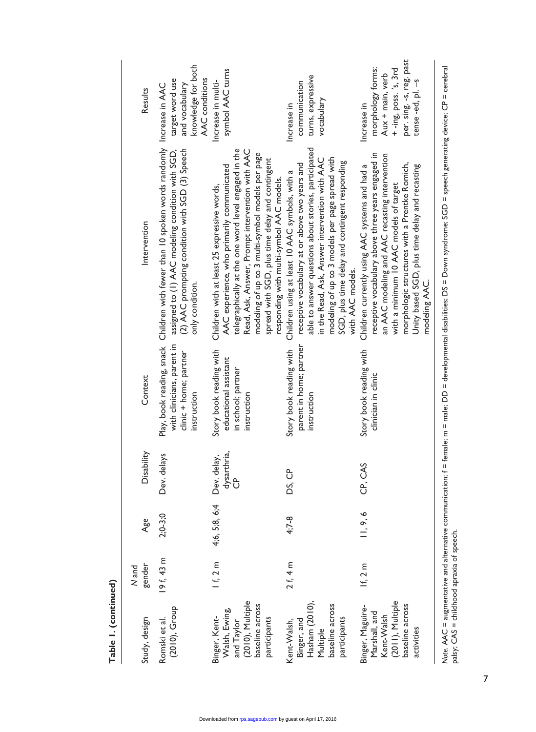| Study, design                                                                                        | gender<br>N and | Age           | Disability                      | Context                                                                               | Intervention                                                                                                                                                                                                                                                                                                                                            | Results                                                                                                                        |
|------------------------------------------------------------------------------------------------------|-----------------|---------------|---------------------------------|---------------------------------------------------------------------------------------|---------------------------------------------------------------------------------------------------------------------------------------------------------------------------------------------------------------------------------------------------------------------------------------------------------------------------------------------------------|--------------------------------------------------------------------------------------------------------------------------------|
| (2010), Group<br>Romski et al.                                                                       | 19 f, 43 m      | $2:0 - 3:0$   | Dev. delays                     | with clinicians, parent in<br>clinic + home; partner<br>instruction                   | Play, book reading, snack Children with fewer than 10 spoken words randomly Increase in AAC<br>(2) AAC prompting condition with SGD (3) Speech<br>assigned to (1) AAC modeling condition with SGD,<br>only condition.                                                                                                                                   | knowledge for both<br>target word use<br>AAC conditions<br>and vocabulary                                                      |
| and Taylor<br>(2010), Multiple<br>baseline across<br>Walsh, Ewing,<br>Binger, Kent-<br>participants  | 1 f, 2 m        | 4;6, 5;8, 6;4 | dysarthria,<br>Dev. delay,<br>Ů | Story book reading with<br>educational assistant<br>in school; partner<br>instruction | telegraphically at the one word level engaged in the<br>Read, Ask, Answer, Prompt intervention with AAC<br>modeling of up to 3 multi-symbol models per page<br>spread with SGD, plus time delay and contingent<br>AAC experience, who primarily communicated<br>responding with multi-symbol AAC models.<br>Children with at least 25 expressive words, | symbol AAC turns<br>Increase in multi-                                                                                         |
| Binger, and<br>Hasham (2010),<br>Multiple<br>baseline across<br>participants<br>Kent-Walsh,          | 2f, 4m          | $4:7-8$       | DS, CP                          | parent in home; partner<br>Story book reading with<br>instruction                     | able to answer questions about stories, participated<br>modeling of up to 3 models per page spread with<br>in the Read, Ask, Answer intervention with AAC<br>SGD, plus time delay and contingent responding<br>receptive vocabulary at or above two years and<br>Children using at least 10 AAC symbols, with a<br>with AAC models.                     | turns, expressive<br>communication<br>vocabulary<br>Increase in                                                                |
| Marshall, and<br>Kent-Walsh<br>(2011), Multiple<br>baseline across<br>Binger, Maguire-<br>activities | If, $2 m$       | 11, 9, 6      | CP, CAS                         | Story book reading with<br>clinician in clinic                                        | receptive vocabulary above three years engaged in<br>an AAC modeling and AAC recasting intervention<br>morphologic structures with a Prentke Romich,<br>Children currently using AAC systems and had a<br>Unity based SGD, plus time delay and recasting<br>with a minimum 10 AAC models of target<br>modeling AAC.                                     | per. sing. -s, reg. past<br>morphology forms:<br>+ -ing, poss. 's, 3rd<br>Aux + main, verb<br>tense-ed, pl. --s<br>Increase in |

Note. AAC = augmentative and alternative communication; f = female; m = male; DD = developmental disabilities; DS = Down syndrome; SGD = speech generating device; CP = cerebral<br>palsy; CAS = childhood apraxia of speech. *Note.* AAC = augmentative and alternative communication; f = female; m = male; DD = developmental disabilities; DS = Down syndrome; SGD = speech generating device; CP = cerebral palsy; CAS = childhood apraxia of speech.

**Table 1. (continued)**

Table 1. (continued)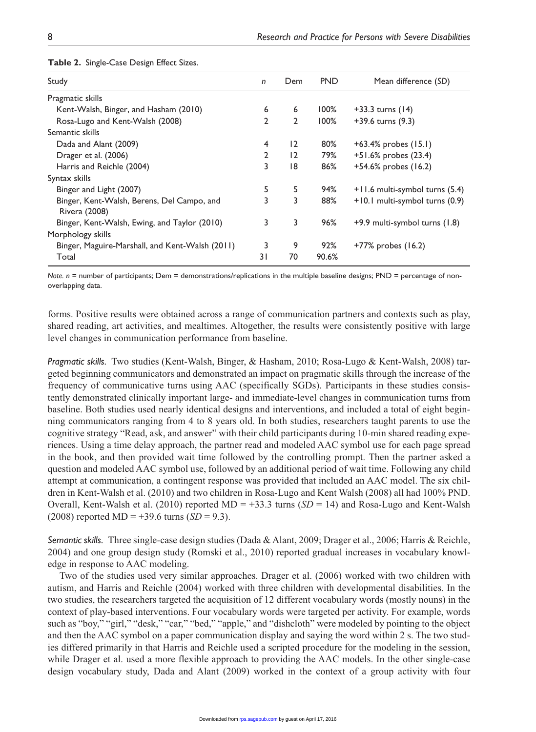| Study                                                       | n              | Dem            | <b>PND</b> | Mean difference (SD)           |
|-------------------------------------------------------------|----------------|----------------|------------|--------------------------------|
| Pragmatic skills                                            |                |                |            |                                |
| Kent-Walsh, Binger, and Hasham (2010)                       | 6              | 6              | $100\%$    | $+33.3$ turns (14)             |
| Rosa-Lugo and Kent-Walsh (2008)                             | 2              | $\overline{2}$ | 100%       | $+39.6$ turns $(9.3)$          |
| Semantic skills                                             |                |                |            |                                |
| Dada and Alant (2009)                                       | 4              | 12             | 80%        | $+63.4\%$ probes $(15.1)$      |
| Drager et al. (2006)                                        | $\mathfrak{D}$ | 12             | 79%        | +51.6% probes (23.4)           |
| Harris and Reichle (2004)                                   | 3              | 18             | 86%        | +54.6% probes (16.2)           |
| Syntax skills                                               |                |                |            |                                |
| Binger and Light (2007)                                     | 5              | 5              | 94%        | +11.6 multi-symbol turns (5.4) |
| Binger, Kent-Walsh, Berens, Del Campo, and<br>Rivera (2008) | 3              | 3              | 88%        | +10.1 multi-symbol turns (0.9) |
| Binger, Kent-Walsh, Ewing, and Taylor (2010)                | 3              | 3              | 96%        | +9.9 multi-symbol turns (1.8)  |
| Morphology skills                                           |                |                |            |                                |
| Binger, Maguire-Marshall, and Kent-Walsh (2011)             | 3              | 9              | 92%        | $+77\%$ probes (16.2)          |
| Total                                                       | 31             | 70             | 90.6%      |                                |

#### **Table 2.** Single-Case Design Effect Sizes.

*Note. n* = number of participants; Dem = demonstrations/replications in the multiple baseline designs; PND = percentage of nonoverlapping data.

forms. Positive results were obtained across a range of communication partners and contexts such as play, shared reading, art activities, and mealtimes. Altogether, the results were consistently positive with large level changes in communication performance from baseline.

*Pragmatic skills.* Two studies (Kent-Walsh, Binger, & Hasham, 2010; Rosa-Lugo & Kent-Walsh, 2008) targeted beginning communicators and demonstrated an impact on pragmatic skills through the increase of the frequency of communicative turns using AAC (specifically SGDs). Participants in these studies consistently demonstrated clinically important large- and immediate-level changes in communication turns from baseline. Both studies used nearly identical designs and interventions, and included a total of eight beginning communicators ranging from 4 to 8 years old. In both studies, researchers taught parents to use the cognitive strategy "Read, ask, and answer" with their child participants during 10-min shared reading experiences. Using a time delay approach, the partner read and modeled AAC symbol use for each page spread in the book, and then provided wait time followed by the controlling prompt. Then the partner asked a question and modeled AAC symbol use, followed by an additional period of wait time. Following any child attempt at communication, a contingent response was provided that included an AAC model. The six children in Kent-Walsh et al. (2010) and two children in Rosa-Lugo and Kent Walsh (2008) all had 100% PND. Overall, Kent-Walsh et al. (2010) reported MD = +33.3 turns (*SD* = 14) and Rosa-Lugo and Kent-Walsh  $(2008)$  reported MD = +39.6 turns  $(SD = 9.3)$ .

*Semantic skills.* Three single-case design studies (Dada & Alant, 2009; Drager et al., 2006; Harris & Reichle, 2004) and one group design study (Romski et al., 2010) reported gradual increases in vocabulary knowledge in response to AAC modeling.

Two of the studies used very similar approaches. Drager et al. (2006) worked with two children with autism, and Harris and Reichle (2004) worked with three children with developmental disabilities. In the two studies, the researchers targeted the acquisition of 12 different vocabulary words (mostly nouns) in the context of play-based interventions. Four vocabulary words were targeted per activity. For example, words such as "boy," "girl," "desk," "car," "bed," "apple," and "dishcloth" were modeled by pointing to the object and then the AAC symbol on a paper communication display and saying the word within 2 s. The two studies differed primarily in that Harris and Reichle used a scripted procedure for the modeling in the session, while Drager et al. used a more flexible approach to providing the AAC models. In the other single-case design vocabulary study, Dada and Alant (2009) worked in the context of a group activity with four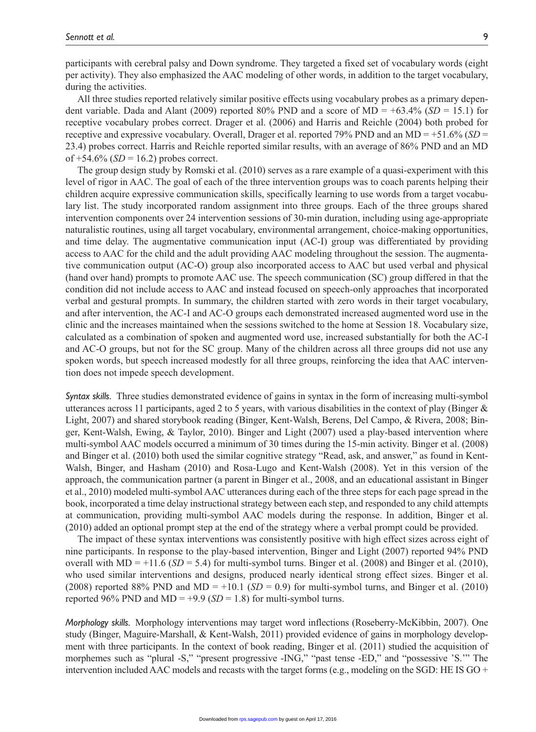participants with cerebral palsy and Down syndrome. They targeted a fixed set of vocabulary words (eight per activity). They also emphasized the AAC modeling of other words, in addition to the target vocabulary, during the activities.

All three studies reported relatively similar positive effects using vocabulary probes as a primary dependent variable. Dada and Alant (2009) reported 80% PND and a score of  $MD = +63.4\%$  (*SD* = 15.1) for receptive vocabulary probes correct. Drager et al. (2006) and Harris and Reichle (2004) both probed for receptive and expressive vocabulary. Overall, Drager et al. reported 79% PND and an MD = +51.6% (*SD* = 23.4) probes correct. Harris and Reichle reported similar results, with an average of 86% PND and an MD of  $+54.6\%$  (*SD* = 16.2) probes correct.

The group design study by Romski et al. (2010) serves as a rare example of a quasi-experiment with this level of rigor in AAC. The goal of each of the three intervention groups was to coach parents helping their children acquire expressive communication skills, specifically learning to use words from a target vocabulary list. The study incorporated random assignment into three groups. Each of the three groups shared intervention components over 24 intervention sessions of 30-min duration, including using age-appropriate naturalistic routines, using all target vocabulary, environmental arrangement, choice-making opportunities, and time delay. The augmentative communication input (AC-I) group was differentiated by providing access to AAC for the child and the adult providing AAC modeling throughout the session. The augmentative communication output (AC-O) group also incorporated access to AAC but used verbal and physical (hand over hand) prompts to promote AAC use. The speech communication (SC) group differed in that the condition did not include access to AAC and instead focused on speech-only approaches that incorporated verbal and gestural prompts. In summary, the children started with zero words in their target vocabulary, and after intervention, the AC-I and AC-O groups each demonstrated increased augmented word use in the clinic and the increases maintained when the sessions switched to the home at Session 18. Vocabulary size, calculated as a combination of spoken and augmented word use, increased substantially for both the AC-I and AC-O groups, but not for the SC group. Many of the children across all three groups did not use any spoken words, but speech increased modestly for all three groups, reinforcing the idea that AAC intervention does not impede speech development.

*Syntax skills.* Three studies demonstrated evidence of gains in syntax in the form of increasing multi-symbol utterances across 11 participants, aged 2 to 5 years, with various disabilities in the context of play (Binger & Light, 2007) and shared storybook reading (Binger, Kent-Walsh, Berens, Del Campo, & Rivera, 2008; Binger, Kent-Walsh, Ewing, & Taylor, 2010). Binger and Light (2007) used a play-based intervention where multi-symbol AAC models occurred a minimum of 30 times during the 15-min activity. Binger et al. (2008) and Binger et al. (2010) both used the similar cognitive strategy "Read, ask, and answer," as found in Kent-Walsh, Binger, and Hasham (2010) and Rosa-Lugo and Kent-Walsh (2008). Yet in this version of the approach, the communication partner (a parent in Binger et al., 2008, and an educational assistant in Binger et al., 2010) modeled multi-symbol AAC utterances during each of the three steps for each page spread in the book, incorporated a time delay instructional strategy between each step, and responded to any child attempts at communication, providing multi-symbol AAC models during the response. In addition, Binger et al. (2010) added an optional prompt step at the end of the strategy where a verbal prompt could be provided.

The impact of these syntax interventions was consistently positive with high effect sizes across eight of nine participants. In response to the play-based intervention, Binger and Light (2007) reported 94% PND overall with  $MD = +11.6$  ( $SD = 5.4$ ) for multi-symbol turns. Binger et al. (2008) and Binger et al. (2010), who used similar interventions and designs, produced nearly identical strong effect sizes. Binger et al. (2008) reported 88% PND and  $MD = +10.1$  ( $SD = 0.9$ ) for multi-symbol turns, and Binger et al. (2010) reported 96% PND and  $MD = +9.9$  (*SD* = 1.8) for multi-symbol turns.

*Morphology skills.* Morphology interventions may target word inflections (Roseberry-McKibbin, 2007). One study (Binger, Maguire-Marshall, & Kent-Walsh, 2011) provided evidence of gains in morphology development with three participants. In the context of book reading, Binger et al. (2011) studied the acquisition of morphemes such as "plural -S," "present progressive -ING," "past tense -ED," and "possessive 'S.'" The intervention included AAC models and recasts with the target forms (e.g., modeling on the SGD: HE IS GO +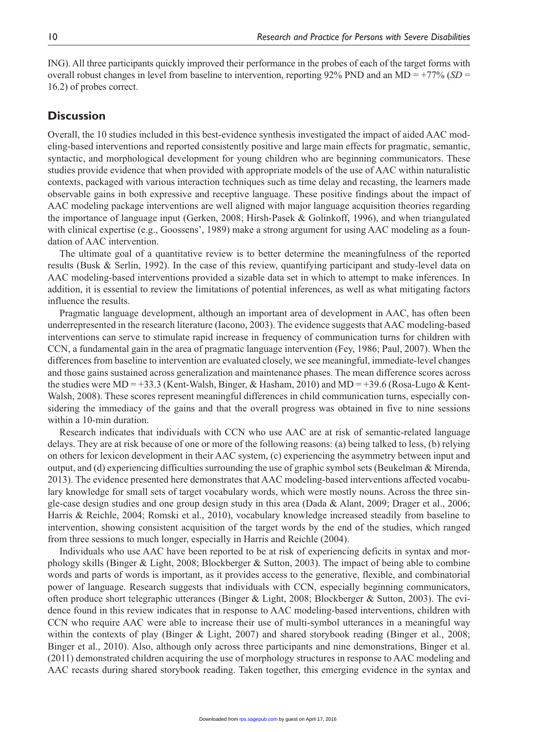ING). All three participants quickly improved their performance in the probes of each of the target forms with overall robust changes in level from baseline to intervention, reporting 92% PND and an MD = +77% (*SD* = 16.2) of probes correct.

# **Discussion**

Overall, the 10 studies included in this best-evidence synthesis investigated the impact of aided AAC modeling-based interventions and reported consistently positive and large main effects for pragmatic, semantic, syntactic, and morphological development for young children who are beginning communicators. These studies provide evidence that when provided with appropriate models of the use of AAC within naturalistic contexts, packaged with various interaction techniques such as time delay and recasting, the learners made observable gains in both expressive and receptive language. These positive findings about the impact of AAC modeling package interventions are well aligned with major language acquisition theories regarding the importance of language input (Gerken, 2008; Hirsh-Pasek & Golinkoff, 1996), and when triangulated with clinical expertise (e.g., Goossens', 1989) make a strong argument for using AAC modeling as a foundation of AAC intervention.

The ultimate goal of a quantitative review is to better determine the meaningfulness of the reported results (Busk & Serlin, 1992). In the case of this review, quantifying participant and study-level data on AAC modeling-based interventions provided a sizable data set in which to attempt to make inferences. In addition, it is essential to review the limitations of potential inferences, as well as what mitigating factors influence the results.

Pragmatic language development, although an important area of development in AAC, has often been underrepresented in the research literature (Iacono, 2003). The evidence suggests that AAC modeling-based interventions can serve to stimulate rapid increase in frequency of communication turns for children with CCN, a fundamental gain in the area of pragmatic language intervention (Fey, 1986; Paul, 2007). When the differences from baseline to intervention are evaluated closely, we see meaningful, immediate-level changes and those gains sustained across generalization and maintenance phases. The mean difference scores across the studies were  $MD = +33.3$  (Kent-Walsh, Binger, & Hasham, 2010) and  $MD = +39.6$  (Rosa-Lugo & Kent-Walsh, 2008). These scores represent meaningful differences in child communication turns, especially considering the immediacy of the gains and that the overall progress was obtained in five to nine sessions within a 10-min duration.

Research indicates that individuals with CCN who use AAC are at risk of semantic-related language delays. They are at risk because of one or more of the following reasons: (a) being talked to less, (b) relying on others for lexicon development in their AAC system, (c) experiencing the asymmetry between input and output, and (d) experiencing difficulties surrounding the use of graphic symbol sets (Beukelman & Mirenda, 2013). The evidence presented here demonstrates that AAC modeling-based interventions affected vocabulary knowledge for small sets of target vocabulary words, which were mostly nouns. Across the three single-case design studies and one group design study in this area (Dada & Alant, 2009; Drager et al., 2006; Harris & Reichle, 2004; Romski et al., 2010), vocabulary knowledge increased steadily from baseline to intervention, showing consistent acquisition of the target words by the end of the studies, which ranged from three sessions to much longer, especially in Harris and Reichle (2004).

Individuals who use AAC have been reported to be at risk of experiencing deficits in syntax and morphology skills (Binger & Light, 2008; Blockberger & Sutton, 2003). The impact of being able to combine words and parts of words is important, as it provides access to the generative, flexible, and combinatorial power of language. Research suggests that individuals with CCN, especially beginning communicators, often produce short telegraphic utterances (Binger & Light, 2008; Blockberger & Sutton, 2003). The evidence found in this review indicates that in response to AAC modeling-based interventions, children with CCN who require AAC were able to increase their use of multi-symbol utterances in a meaningful way within the contexts of play (Binger & Light, 2007) and shared storybook reading (Binger et al., 2008; Binger et al., 2010). Also, although only across three participants and nine demonstrations, Binger et al. (2011) demonstrated children acquiring the use of morphology structures in response to AAC modeling and AAC recasts during shared storybook reading. Taken together, this emerging evidence in the syntax and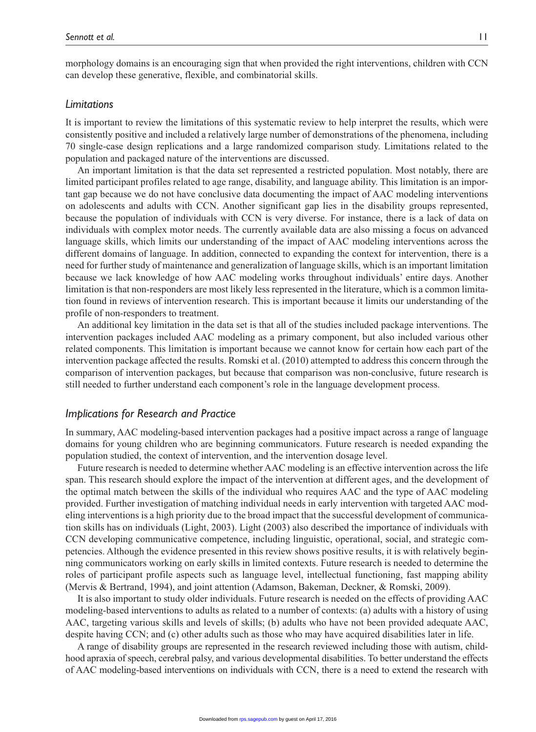morphology domains is an encouraging sign that when provided the right interventions, children with CCN can develop these generative, flexible, and combinatorial skills.

#### *Limitations*

It is important to review the limitations of this systematic review to help interpret the results, which were consistently positive and included a relatively large number of demonstrations of the phenomena, including 70 single-case design replications and a large randomized comparison study. Limitations related to the population and packaged nature of the interventions are discussed.

An important limitation is that the data set represented a restricted population. Most notably, there are limited participant profiles related to age range, disability, and language ability. This limitation is an important gap because we do not have conclusive data documenting the impact of AAC modeling interventions on adolescents and adults with CCN. Another significant gap lies in the disability groups represented, because the population of individuals with CCN is very diverse. For instance, there is a lack of data on individuals with complex motor needs. The currently available data are also missing a focus on advanced language skills, which limits our understanding of the impact of AAC modeling interventions across the different domains of language. In addition, connected to expanding the context for intervention, there is a need for further study of maintenance and generalization of language skills, which is an important limitation because we lack knowledge of how AAC modeling works throughout individuals' entire days. Another limitation is that non-responders are most likely less represented in the literature, which is a common limitation found in reviews of intervention research. This is important because it limits our understanding of the profile of non-responders to treatment.

An additional key limitation in the data set is that all of the studies included package interventions. The intervention packages included AAC modeling as a primary component, but also included various other related components. This limitation is important because we cannot know for certain how each part of the intervention package affected the results. Romski et al. (2010) attempted to address this concern through the comparison of intervention packages, but because that comparison was non-conclusive, future research is still needed to further understand each component's role in the language development process.

## *Implications for Research and Practice*

In summary, AAC modeling-based intervention packages had a positive impact across a range of language domains for young children who are beginning communicators. Future research is needed expanding the population studied, the context of intervention, and the intervention dosage level.

Future research is needed to determine whether AAC modeling is an effective intervention across the life span. This research should explore the impact of the intervention at different ages, and the development of the optimal match between the skills of the individual who requires AAC and the type of AAC modeling provided. Further investigation of matching individual needs in early intervention with targeted AAC modeling interventions is a high priority due to the broad impact that the successful development of communication skills has on individuals (Light, 2003). Light (2003) also described the importance of individuals with CCN developing communicative competence, including linguistic, operational, social, and strategic competencies. Although the evidence presented in this review shows positive results, it is with relatively beginning communicators working on early skills in limited contexts. Future research is needed to determine the roles of participant profile aspects such as language level, intellectual functioning, fast mapping ability (Mervis & Bertrand, 1994), and joint attention (Adamson, Bakeman, Deckner, & Romski, 2009).

It is also important to study older individuals. Future research is needed on the effects of providing AAC modeling-based interventions to adults as related to a number of contexts: (a) adults with a history of using AAC, targeting various skills and levels of skills; (b) adults who have not been provided adequate AAC, despite having CCN; and (c) other adults such as those who may have acquired disabilities later in life.

A range of disability groups are represented in the research reviewed including those with autism, childhood apraxia of speech, cerebral palsy, and various developmental disabilities. To better understand the effects of AAC modeling-based interventions on individuals with CCN, there is a need to extend the research with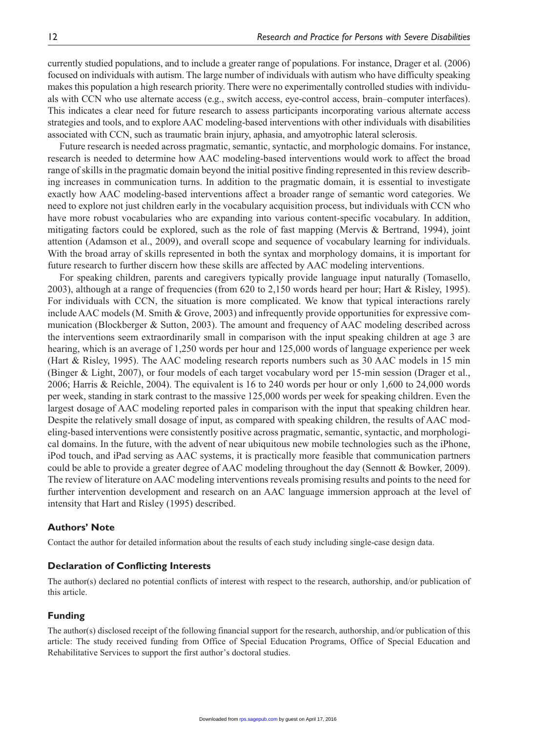currently studied populations, and to include a greater range of populations. For instance, Drager et al. (2006) focused on individuals with autism. The large number of individuals with autism who have difficulty speaking makes this population a high research priority. There were no experimentally controlled studies with individuals with CCN who use alternate access (e.g., switch access, eye-control access, brain–computer interfaces). This indicates a clear need for future research to assess participants incorporating various alternate access strategies and tools, and to explore AAC modeling-based interventions with other individuals with disabilities associated with CCN, such as traumatic brain injury, aphasia, and amyotrophic lateral sclerosis.

Future research is needed across pragmatic, semantic, syntactic, and morphologic domains. For instance, research is needed to determine how AAC modeling-based interventions would work to affect the broad range of skills in the pragmatic domain beyond the initial positive finding represented in this review describing increases in communication turns. In addition to the pragmatic domain, it is essential to investigate exactly how AAC modeling-based interventions affect a broader range of semantic word categories. We need to explore not just children early in the vocabulary acquisition process, but individuals with CCN who have more robust vocabularies who are expanding into various content-specific vocabulary. In addition, mitigating factors could be explored, such as the role of fast mapping (Mervis & Bertrand, 1994), joint attention (Adamson et al., 2009), and overall scope and sequence of vocabulary learning for individuals. With the broad array of skills represented in both the syntax and morphology domains, it is important for future research to further discern how these skills are affected by AAC modeling interventions.

For speaking children, parents and caregivers typically provide language input naturally (Tomasello, 2003), although at a range of frequencies (from 620 to 2,150 words heard per hour; Hart & Risley, 1995). For individuals with CCN, the situation is more complicated. We know that typical interactions rarely include AAC models (M. Smith & Grove, 2003) and infrequently provide opportunities for expressive communication (Blockberger & Sutton, 2003). The amount and frequency of AAC modeling described across the interventions seem extraordinarily small in comparison with the input speaking children at age 3 are hearing, which is an average of 1,250 words per hour and 125,000 words of language experience per week (Hart & Risley, 1995). The AAC modeling research reports numbers such as 30 AAC models in 15 min (Binger & Light, 2007), or four models of each target vocabulary word per 15-min session (Drager et al., 2006; Harris & Reichle, 2004). The equivalent is 16 to 240 words per hour or only 1,600 to 24,000 words per week, standing in stark contrast to the massive 125,000 words per week for speaking children. Even the largest dosage of AAC modeling reported pales in comparison with the input that speaking children hear. Despite the relatively small dosage of input, as compared with speaking children, the results of AAC modeling-based interventions were consistently positive across pragmatic, semantic, syntactic, and morphological domains. In the future, with the advent of near ubiquitous new mobile technologies such as the iPhone, iPod touch, and iPad serving as AAC systems, it is practically more feasible that communication partners could be able to provide a greater degree of AAC modeling throughout the day (Sennott & Bowker, 2009). The review of literature on AAC modeling interventions reveals promising results and points to the need for further intervention development and research on an AAC language immersion approach at the level of intensity that Hart and Risley (1995) described.

#### **Authors' Note**

Contact the author for detailed information about the results of each study including single-case design data.

#### **Declaration of Conflicting Interests**

The author(s) declared no potential conflicts of interest with respect to the research, authorship, and/or publication of this article.

#### **Funding**

The author(s) disclosed receipt of the following financial support for the research, authorship, and/or publication of this article: The study received funding from Office of Special Education Programs, Office of Special Education and Rehabilitative Services to support the first author's doctoral studies.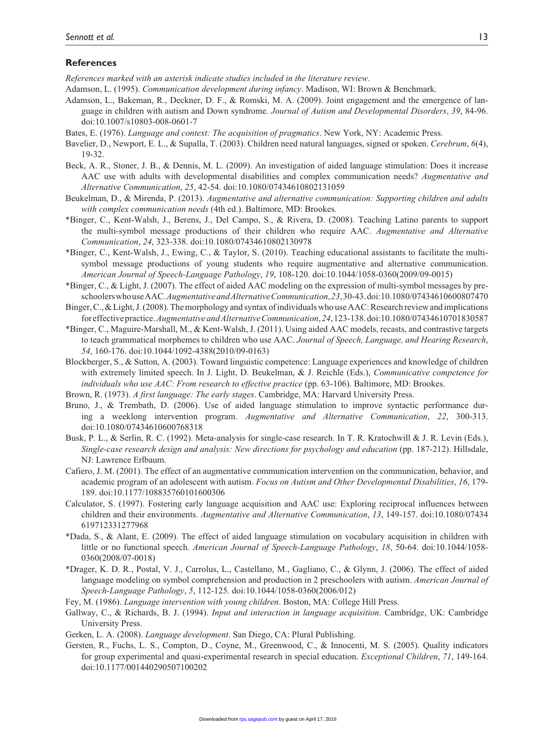#### **References**

*References marked with an asterisk indicate studies included in the literature review.*

- Adamson, L. (1995). *Communication development during infancy*. Madison, WI: Brown & Benchmark.
- Adamson, L., Bakeman, R., Deckner, D. F., & Romski, M. A. (2009). Joint engagement and the emergence of language in children with autism and Down syndrome. *Journal of Autism and Developmental Disorders*, *39*, 84-96. doi:10.1007/s10803-008-0601-7
- Bates, E. (1976). *Language and context: The acquisition of pragmatics*. New York, NY: Academic Press.
- Bavelier, D., Newport, E. L., & Supalla, T. (2003). Children need natural languages, signed or spoken. *Cerebrum*, *6*(4), 19-32.
- Beck, A. R., Stoner, J. B., & Dennis, M. L. (2009). An investigation of aided language stimulation: Does it increase AAC use with adults with developmental disabilities and complex communication needs? *Augmentative and Alternative Communication*, *25*, 42-54. doi:10.1080/07434610802131059
- Beukelman, D., & Mirenda, P. (2013). *Augmentative and alternative communication: Supporting children and adults with complex communication needs* (4th ed.). Baltimore, MD: Brookes.
- \*Binger, C., Kent-Walsh, J., Berens, J., Del Campo, S., & Rivera, D. (2008). Teaching Latino parents to support the multi-symbol message productions of their children who require AAC. *Augmentative and Alternative Communication*, *24*, 323-338. doi:10.1080/07434610802130978
- \*Binger, C., Kent-Walsh, J., Ewing, C., & Taylor, S. (2010). Teaching educational assistants to facilitate the multisymbol message productions of young students who require augmentative and alternative communication. *American Journal of Speech-Language Pathology*, *19*, 108-120. doi:10.1044/1058-0360(2009/09-0015)
- \*Binger, C., & Light, J. (2007). The effect of aided AAC modeling on the expression of multi-symbol messages by preschoolers who use AAC. *Augmentative and Alternative Communication*, *23*, 30-43. doi:10.1080/07434610600807470
- Binger, C., & Light, J. (2008). The morphology and syntax of individuals who use AAC: Research review and implications for effective practice. *Augmentative and Alternative Communication*, *24*, 123-138. doi:10.1080/07434610701830587
- \*Binger, C., Maguire-Marshall, M., & Kent-Walsh, J. (2011). Using aided AAC models, recasts, and contrastive targets to teach grammatical morphemes to children who use AAC. *Journal of Speech, Language, and Hearing Research*, *54*, 160-176. doi:10.1044/1092-4388(2010/09-0163)
- Blockberger, S., & Sutton, A. (2003). Toward linguistic competence: Language experiences and knowledge of children with extremely limited speech. In J. Light, D. Beukelman, & J. Reichle (Eds.), *Communicative competence for individuals who use AAC: From research to effective practice* (pp. 63-106). Baltimore, MD: Brookes.
- Brown, R. (1973). *A first language: The early stages*. Cambridge, MA: Harvard University Press.
- Bruno, J., & Trembath, D. (2006). Use of aided language stimulation to improve syntactic performance during a weeklong intervention program. *Augmentative and Alternative Communication*, *22*, 300-313. doi:10.1080/07434610600768318
- Busk, P. L., & Serlin, R. C. (1992). Meta-analysis for single-case research. In T. R. Kratochwill & J. R. Levin (Eds.), *Single-case research design and analysis: New directions for psychology and education* (pp. 187-212). Hillsdale, NJ: Lawrence Erlbaum.
- Cafiero, J. M. (2001). The effect of an augmentative communication intervention on the communication, behavior, and academic program of an adolescent with autism. *Focus on Autism and Other Developmental Disabilities*, *16*, 179- 189. doi:10.1177/108835760101600306
- Calculator, S. (1997). Fostering early language acquisition and AAC use: Exploring reciprocal influences between children and their environments. *Augmentative and Alternative Communication*, *13*, 149-157. doi:10.1080/07434 619712331277968
- \*Dada, S., & Alant, E. (2009). The effect of aided language stimulation on vocabulary acquisition in children with little or no functional speech. *American Journal of Speech-Language Pathology*, *18*, 50-64. doi:10.1044/1058- 0360(2008/07-0018)
- \*Drager, K. D. R., Postal, V. J., Carrolus, L., Castellano, M., Gagliano, C., & Glynn, J. (2006). The effect of aided language modeling on symbol comprehension and production in 2 preschoolers with autism. *American Journal of Speech-Language Pathology*, *5*, 112-125. doi:10.1044/1058-0360(2006/012)
- Fey, M. (1986). *Language intervention with young children*. Boston, MA: College Hill Press.
- Gallway, C., & Richards, B. J. (1994). *Input and interaction in language acquisition*. Cambridge, UK: Cambridge University Press.
- Gerken, L. A. (2008). *Language development*. San Diego, CA: Plural Publishing.
- Gersten, R., Fuchs, L. S., Compton, D., Coyne, M., Greenwood, C., & Innocenti, M. S. (2005). Quality indicators for group experimental and quasi-experimental research in special education. *Exceptional Children*, *71*, 149-164. doi:10.1177/001440290507100202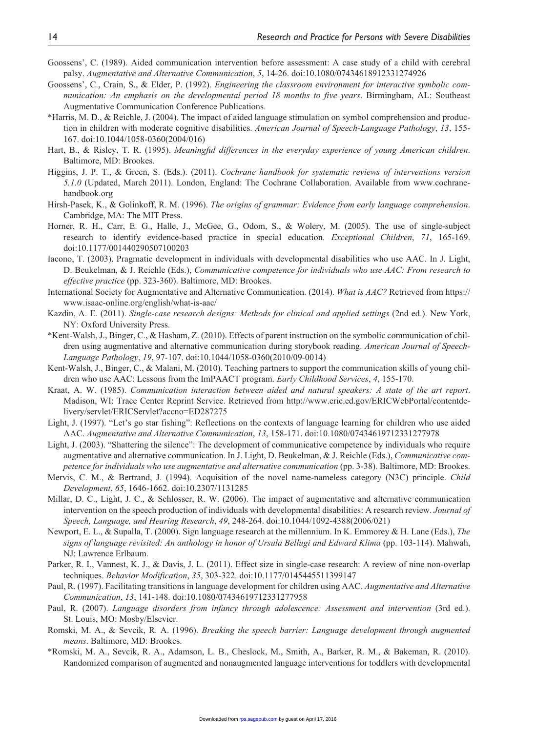- Goossens', C. (1989). Aided communication intervention before assessment: A case study of a child with cerebral palsy. *Augmentative and Alternative Communication*, *5*, 14-26. doi:10.1080/07434618912331274926
- Goossens', C., Crain, S., & Elder, P. (1992). *Engineering the classroom environment for interactive symbolic communication: An emphasis on the developmental period 18 months to five years*. Birmingham, AL: Southeast Augmentative Communication Conference Publications.
- \*Harris, M. D., & Reichle, J. (2004). The impact of aided language stimulation on symbol comprehension and production in children with moderate cognitive disabilities. *American Journal of Speech-Language Pathology*, *13*, 155- 167. doi:10.1044/1058-0360(2004/016)
- Hart, B., & Risley, T. R. (1995). *Meaningful differences in the everyday experience of young American children*. Baltimore, MD: Brookes.
- Higgins, J. P. T., & Green, S. (Eds.). (2011). *Cochrane handbook for systematic reviews of interventions version 5.1.0* (Updated, March 2011). London, England: The Cochrane Collaboration. Available from www.cochranehandbook.org
- Hirsh-Pasek, K., & Golinkoff, R. M. (1996). *The origins of grammar: Evidence from early language comprehension*. Cambridge, MA: The MIT Press.
- Horner, R. H., Carr, E. G., Halle, J., McGee, G., Odom, S., & Wolery, M. (2005). The use of single-subject research to identify evidence-based practice in special education. *Exceptional Children*, *71*, 165-169. doi:10.1177/001440290507100203
- Iacono, T. (2003). Pragmatic development in individuals with developmental disabilities who use AAC. In J. Light, D. Beukelman, & J. Reichle (Eds.), *Communicative competence for individuals who use AAC: From research to effective practice* (pp. 323-360). Baltimore, MD: Brookes.
- International Society for Augmentative and Alternative Communication. (2014). *What is AAC?* Retrieved from https:// www.isaac-online.org/english/what-is-aac/
- Kazdin, A. E. (2011). *Single-case research designs: Methods for clinical and applied settings* (2nd ed.). New York, NY: Oxford University Press.
- \*Kent-Walsh, J., Binger, C., & Hasham, Z. (2010). Effects of parent instruction on the symbolic communication of children using augmentative and alternative communication during storybook reading. *American Journal of Speech-Language Pathology*, *19*, 97-107. doi:10.1044/1058-0360(2010/09-0014)
- Kent-Walsh, J., Binger, C., & Malani, M. (2010). Teaching partners to support the communication skills of young children who use AAC: Lessons from the ImPAACT program. *Early Childhood Services*, *4*, 155-170.
- Kraat, A. W. (1985). *Communication interaction between aided and natural speakers: A state of the art report*. Madison, WI: Trace Center Reprint Service. Retrieved from http://www.eric.ed.gov/ERICWebPortal/contentdelivery/servlet/ERICServlet?accno=ED287275
- Light, J. (1997). "Let's go star fishing": Reflections on the contexts of language learning for children who use aided AAC. *Augmentative and Alternative Communication*, *13*, 158-171. doi:10.1080/07434619712331277978
- Light, J. (2003). "Shattering the silence": The development of communicative competence by individuals who require augmentative and alternative communication. In J. Light, D. Beukelman, & J. Reichle (Eds.), *Communicative competence for individuals who use augmentative and alternative communication* (pp. 3-38). Baltimore, MD: Brookes.
- Mervis, C. M., & Bertrand, J. (1994). Acquisition of the novel name-nameless category (N3C) principle. *Child Development*, *65*, 1646-1662. doi:10.2307/1131285
- Millar, D. C., Light, J. C., & Schlosser, R. W. (2006). The impact of augmentative and alternative communication intervention on the speech production of individuals with developmental disabilities: A research review. *Journal of Speech, Language, and Hearing Research*, *49*, 248-264. doi:10.1044/1092-4388(2006/021)
- Newport, E. L., & Supalla, T. (2000). Sign language research at the millennium. In K. Emmorey & H. Lane (Eds.), *The signs of language revisited: An anthology in honor of Ursula Bellugi and Edward Klima* (pp. 103-114). Mahwah, NJ: Lawrence Erlbaum.
- Parker, R. I., Vannest, K. J., & Davis, J. L. (2011). Effect size in single-case research: A review of nine non-overlap techniques. *Behavior Modification*, *35*, 303-322. doi:10.1177/0145445511399147
- Paul, R. (1997). Facilitating transitions in language development for children using AAC. *Augmentative and Alternative Communication*, *13*, 141-148. doi:10.1080/07434619712331277958
- Paul, R. (2007). *Language disorders from infancy through adolescence: Assessment and intervention* (3rd ed.). St. Louis, MO: Mosby/Elsevier.
- Romski, M. A., & Sevcik, R. A. (1996). *Breaking the speech barrier: Language development through augmented means*. Baltimore, MD: Brookes.
- \*Romski, M. A., Sevcik, R. A., Adamson, L. B., Cheslock, M., Smith, A., Barker, R. M., & Bakeman, R. (2010). Randomized comparison of augmented and nonaugmented language interventions for toddlers with developmental